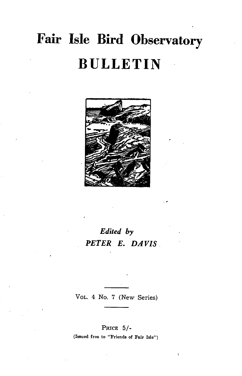# **Fair Isle Bird Observatory BULLETIN**



# *Edited by PETER E. DAVIS*

VOL. 4 No. 7 (New Series)

PRICE 5/- (Issued free to "Friends of Fair Isle")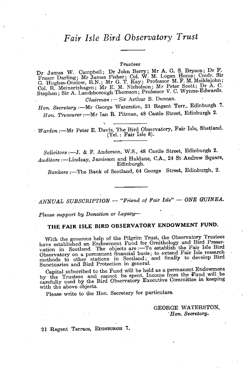#### *Trustees*

 $D_r$  James W. Campbell; Dr John Berry; Mr A. G. S. Bryson; Dr F. Fraser Darling; Mr James Fisher; Col. W. M. Logan Home; Cmdr. Sir  $G.$  Hughes-Onslow, R.N.; Mr G. T. Kay; Professor M. F. M. Meiklejohn;  $\sum_{\text{Col. R.} }\text{Meinertzhagen};\text{ Mr. E. M. Nicholason; Mr. Peter Scott; Dr. A. C.}$ Step hen ; Sir A. Landsborough Thomson; Professor V. C. Wynne-Edwards.

*Chairman* :- Sir Arthur B. Duncan.

*Hon. Secretary*: - Mr George Waterston, 21 Regent Terr., Edinburgh 7. Hon. Treasurer :- Mr Ian R. Pitman, 48 Castle Street, Edinburgh 2.

*Warden* :- Mr Peter E. Davis, The Bird Observatory, Fair Isle, Shetland. (Tel.: Fair Isle 8).

*Solicitors* :-J. & F. Anderson, W.S., 48 Castle Street, Edinburgh 2. Auditors :- Lindsay, Jamieson and Haldane, C.A., 24 St Andrew Square, Edinburgh.

*Bankers* :~The Bank of Scotland, 64 George Street, Edinburgh, 2.

*ANNUAL SUBSCRIPTION* - "Friend of Fair Isle" - ONE GUINEA.

*Please support by Donation or Legacy-*

# THE FAIR ISLE BIRD OBSERVATORY ENDOWMENT FUND.

With the generous help of the Pilgrim Trust, the Observatory Trustees have established an Endowment Fund for Ornithology and Bird Preservation in Scotland. The objects are :--To establish the Fair Isle research Observatory on a permanent financial basis; to extend Fair Isle research methods to other stations in Scotland; and finally to develop Bird Sanctuaries and Bird Protection in general. '

Capital subscribed to the Fund will be held as a permanent Endowment by the Trustees and cannot be spent. Income from the Fund will be carefully used by the Bird Observatory Executive Committee in keeping with the above objects.

Please write to the Hon. Secretary for particulars.

GEORGE WATERSTON, *. Hon. Secretary.* 

21 Regent Terrace, EDINBURGH 7.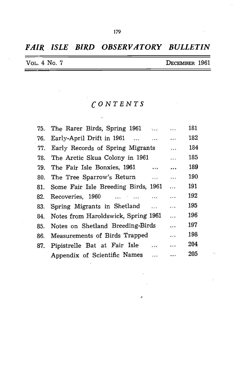# *FAIR ISLE BIRD OBSERVATORY BULLETIN*

| VOL. 4 No. 7 | DECEMBER 1961 |  |
|--------------|---------------|--|

# *CONTENTS*

| The Rarer Birds, Spring 1961          | $\ddotsc$                                                                                                                                      | 181 |
|---------------------------------------|------------------------------------------------------------------------------------------------------------------------------------------------|-----|
| Early-April Drift in 1961<br>$\cdots$ | $\ddotsc$                                                                                                                                      | 182 |
| Early Records of Spring Migrants      | $\cdots$                                                                                                                                       | 184 |
| The Arctic Skua Colony in 1961        | $\cdots$                                                                                                                                       | 185 |
| $\cdots$                              | $\cdots$                                                                                                                                       | 189 |
| $\ddotsc$                             | $\ddotsc$                                                                                                                                      | 190 |
|                                       | .                                                                                                                                              | 191 |
| Recoveries, $1960$<br>$\cdots$        | .                                                                                                                                              | 192 |
|                                       | $\ddotsc$                                                                                                                                      | 195 |
| Notes from Haroldswick, Spring 1961   | $\cdots$                                                                                                                                       | 196 |
| Notes on Shetland Breeding-Birds      | .                                                                                                                                              | 197 |
| Measurements of Birds Trapped         | .                                                                                                                                              | 198 |
| Pipistrelle Bat at Fair Isle          | .                                                                                                                                              | 204 |
| Appendix of Scientific Names          |                                                                                                                                                | 205 |
|                                       | 79. The Fair Isle Bonxies, 1961<br>80. The Tree Sparrow's Return<br>81. Some Fair Isle Breeding Birds, 1961<br>83. Spring Migrants in Shetland |     |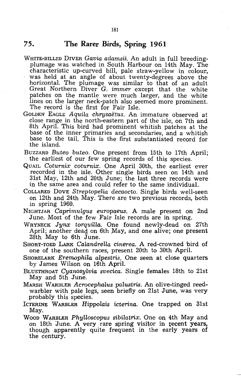## 75. The Rarer Birds, Spring 1961

- WHITE-BILLED DIVER *Gavia adamsii.* An adult in full breedingplumage was watched in South Harbour on 14th May. The characteristic up-curved bill, pale straw-yellow in colour, was held at an angle of about twenty-degrees above the horizontal. The plumage was similar to that of an adult Great Northern Diver G. *immer* except that the white patches on the mantle were much larger, and the white lines on the larger neck-patch also seemed more prominent. The record is the first for Fair Isle.
- GOLDEN EAGLE *Aquila chrysaetus.* An immature observed at close range in the north-eastern part of the isle, on 7th and 8th April. This bird had prominent whitish patches at the base of the inner primaries and secondaries, and a whitish base to the tail. This is the first substantiated record for the island.
- BUZZARD *Buteo buteo.* One present from 15th to 17th April; the earliest of our few spring records of this species.
- QUAIL *Coturnix coturnix.* One April 30th, the earliest ever recorded in the isle. Other single birds seen on 14th and 31st May, 12th and 20th June; the last three records were in the same area and could refer to the same individual.
- COLLARED DOVE *Streptopelia decaocto.* Single birds well-seen on 12th and 24th May. There are two previous records, both in spring 1960.
- NIGHTJAR *Caprimulgus europaeus.* A male present on 2nd June. Most of the few Fair Isle records are in spring.
- WRYNECK Junx torquilla. One found newly-dead on 27th April; another dead on 6th May, and one alive; one present 28th May to 6th June.
- SHORT-TOED LARK *CalandreHa cinerea.* A red-crowned bird *of*  one of the southern races, present 20th to 30th April.
- SHORELARK *Eremophila alpestris.* One seen at close quarters by James Wilson on 16th April.
- BLUETHROAT *Cyanosylvia svecica.* Single females 18th to 21st May and 5th June.
- MARSH WARBLER *Acrocephalus palustris.* An olive-tinged reedwarbler with pale legs, seen briefly on 21st June, was very probably this species.
- ICTERINE WARBLER *Hippolais icterina.* One trapped on 31st May.
- WOOD WARBLER *Phylloscopus sibilatrix.* One on 4th May and on 18th June. A very rare spring visitor in recent years, though apparently quite frequent in the early years of the century.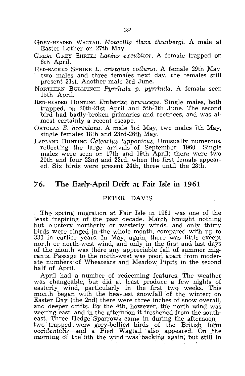- GREY-HEADED WAGTAIL *Motacilla flava thunbergi.* A male at Easter Lother on 27th May.
- GREAT GREY SHRIKE *Lanrius excubitor.* A female trapped on 8th April.
- RED-BACKED SHRIKE L. *cristatus collurio*. A female 29th May, two males and three females next day, the females still present 31st. Another male 3rd June.
- NORTHERN BULLFINCH *Pyrrhula* p. *pyrrhula.* A female seen 15th April.
- RED-HEADED BUNTING *Emberiza; bruniceps.* 'Single males, both trapped, on 20th-21st April and 5th-7th June. The second bird had badly-broken primaries and rectrices, and was almost certainly a recent escape.
- ORTOLAN *E. hortulana.* A male 3rd May, two males 7th May, single females 18th and 23rd-26th May.
- LAPLAND BUNTING *Calcarius lapponicus.* Unusually numerous, reflecting the large arrivals of September 1960. Single males were seen on 17th and 19th April; there were two 20th and four 22nd and 23rd, when the first female appeared. Six birds were present 24th, three until the 28th.

## **76. The Early-April Drift at Fair Isle in 1961**

#### PETER DAVIS

The spring migration at Fair Isle in 1961 was one of the least inspiring of the past decade. March brought nothing but blustery northerly or westerly winds, and only thirty birds were ringed in the whole month, compared with up to 330 in earlier years. In May, again, there was little except north or north-west wind, and only in the first and last days of the month was there any appreciable fall of summer migrants. Passage to the north-west was poor, apart from moderate numbers of Wheatears and Meadow Pipits in the second half of April.

April had a number of redeeming features. The weather was changeable, but did at least produce a few nights of easterly wind, particularly in the first two weeks. This month began with the heaviest snowfall of the winter; on Easter Day (the 2nd) there were three inches of snow overall, and deeper drifts. By the 4th, however, the north wind was veering east, and in the afternoon it freshened from the southeast. Three Hedge Sparrows came in during the afternoontwo trapped were grey-bellied birds of the British form *occidentalis-and* a Pied W,!gta"il also appeared .. On ; the morning of the' 5th the wind 'was 'backing again, *'but* still in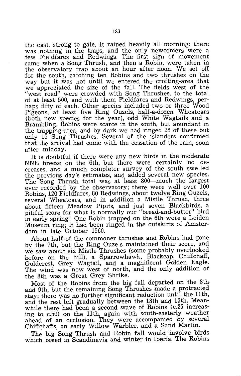the east, strong to gale. It rained heavily all morning; there was nothing in the traps, and the only newcomers were a few Fieldfares and Redwings. The first sign of movement came when a Song Thrush, and then a Robin, were taken in the observatory trap about an hour after noon. We set off for the south, catching ten Robins and two thrushes on the way but it was not until We entered the crofting-area that we appreciated the size of the falL The fields west of the "west road" were crowded with Song Thrushes, to the total of at least 500, and with them Fieldfares and Redwings, perhaps fifty of each. Other species included two or three Wood Pigeons, at least five Ring Ouzels, half-a-dozen Wheatears (both new species for the year), odd White Wagtails and a Brambling. Robins were scarce in the south, but abundant in the trapping-area, and by dark we had ringed 25 of these but only 15 Song Thrushes. Several of the islanders confirmed that the arrival had come with the cessation of the rain, soon after midday.

It is doubtful if there were any new 'birds in the moderate NNE breeze on the 6th, but there were certainly no decreases, and a much completer survey of the south swelled the previous day's estimates, and added several new species. The Song Thrush total was at least 800—much the largest ever recorded by the observatory; there were well over 100 Robins, 120 Fieldfares, 80 Redwings, about twelve Ring Ouzels, several Wheatears, and in addition a Mistle Thrush, three about fifteen Meadow Pipits, and just seven Blackbirds, a pitiful score for what is normally our "bread-and-butter" bird in early spring! One Robin trapped on the 6th wore a Leiden Museum ring; it had 'been ringed in the outskirts of Amsterdam in late October 1960.

About half of the commoner thrushes and Robins had gone by the 7th, but the Ring Ouzels maintained their score, and we saw about six Mistle Thrushes (some probably overlooked before on the hill), a Sparrowhawk, Blackcap, Chiffchaff, Goldcrest, Grey Wagtail, and a magnificent Golden Eagle. The wind was now west of north, and the only addition of the 8th was a Great Grey Shrike.

Most of the Robins from the big fall departed on the 8th and 9th, but the remaining Song Thrushes made a protracted stay; there was no further significant reduction until the 11th, and the rest left gradually between the 13th and 15th. Meanwhile there had been a second wave of Robins (c.25 increasing to c.50) on the 11th, again with south-easterly weather ahead of an occlusion. They were accompanied by several Chiffchaffs, an early Willow Warbler, and a Sand Martin.

The big Song Thrush and Robin fall would involve birds which breed in Scandinavia and winter in Iberia. The Robins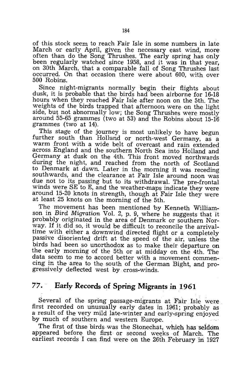of this stock seem to reach Fair Isle in some numbers in late March or early April, given the necessary east wind, more often than do the Song Thrushes. The early spring has only been regularly watched since 1958, and it was in that year, on 30th March, that a comparable fall of Song Thrushes last occurred. On that occasion there were about 600, with over 500 Robins.

Since night-migrants normally begin their flights about dusk, it is probable that the birds had been airborne for 16-18 hours when they reached Fair Isle after noon on the 5th. The weights of the birds trapped that afternoon were on the light side, but not abnormally low; the Song Thrushes were mostly around 55-65 grammes (two at 53) and the Robins about 15-16 grammes (two at 14).

This stage of the journey is most unlikely to have begun further south than Holland or north-west Germany, as a warm front with a wide belt of overcast and rain extended across England and the southern North Sea into Holland and Germany at dusk on the 4th. This front moved northwards during the night, and reached from the north of Scotland to Denmark at dawn. Later in the morning it was receding southwards, and the clearance at Fair Isle around noon was due not to its passing but to its withdrawal. The pre-frontal winds were SE to E, and the weather-maps indicate they were around 15-20 knots in strength, though at Fair Isle they were at least 25 knots on the morning of the 5th.

The movement has been mentioned by Kenneth Williamson in Bird Migration Vol. 2, p. 9, where he suggests that it probably originated in the area of Denmark or southern Norway. If it did so, it would be difficult to reconcile the arrivaltime with either a downwind directed flight or a completely passive disoriented drift at the speed of the air, unless the birds had been so unorthodox as to make their departure on the early morning of the 5th or at midday on the 4th. The data seem to me to accord better with a movement commencing in the area to the south of the German Bight, and progressively deflected west by cross-winds.

# **77. Early Records of Spring Migrants in 1961**

Several of the spring passage-migrants at Fair Isle were first recorded on unusually early dates in 1961; probably as a result of the very mild late-winter and early-spring enjoyed by much of southern and western Europe.

The first of thse birds was the Stonechat, which has seldom appeared before the first or second weeks of March. The earliest records I can find were on the 26th February in 1927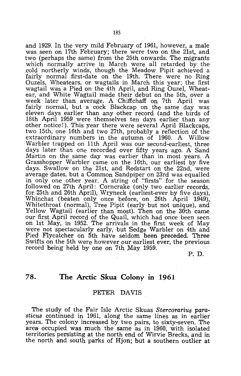and 1929. In the very mild February of 1961, however, a male was seen on 17th February; there were two on the 21st, and two (perhaps the same) from the 25th onwards. The migrants which normally arrive in March were all retarded by the .cold northerly winds, though the Meadow Pipit achieved a fairly normal first-date on the 19th. There were no Ring Ouzels, Wheatears, or wagtails in March this year; the first wagtail was a Pied on the 4th April, and Ring Ouzel, Wheatear, and White Wagtail made their debut on the 5th, over a week later than average. A Chiffchaff on 7th April was fairly normal, but a cock Blackcap on the same day was eleven days earlier than any other record (and the birds of 18th April 1959 were themselves ten days earlier than any other notice!). This year there were several April Blackcaps, two 15th, one 16th and two 27th, probably a reflection of the extraordinary numbers in the autumn of 1960. A Willow Warbler trapped on 11th April was our second-earliest, three days later than one recorded over fifty years ago. A Sand Martin on the same day was earlier than in most years. A Grasshopper Warbler came on the 16th, our earliest by five days. Swallow on the 21st, and Redstart on the 22nd, were average dates, but a Common Sandpiper on 23rd was equalled in only one other year. A string of "firsts" for the season followed on 27th April: Corncrake (only two earlier records, for 25th and 26th April), Wryneck (earliest-ever by five days), Whinchat (beaten only once before, on 26th April 1949), Whitethroat (normal), Tree Pipit (early but not unique), and Yellow Wagtail (earlier than most). Then on the 30th came our first April record of the Quail, which had once been seen on 1st May, in 1952. The arrivals in the first week of May were not spectacularly early, but Sedge Warbler on 4th and Pied Flycatcher on 5th have seldom been preceded. Three Swifts on the 5th were however our earliest ever, the previous record being held by one on 7th May 1959.

P. D.

# **78. The Arctic Skua Colony In 1961**

#### PETER DAVIS

The study of the Fair Isle Arctic Skuas *Stercorarius parasticus* continued in 1961, along the same lines as in earlier years. The colony increased by two pairs, to sixty-seven. The area occupied was much the same as in 1960, with isolated territories persisting at the north end of Wirvie Brecks, and in the north and south parks of Hjon; but a southern outlier at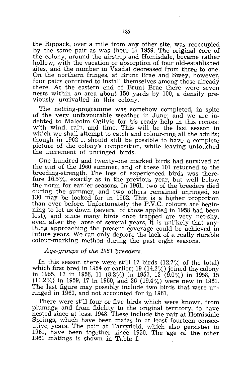the Rippack, over a mile from any other site, was reoccupied by the same pair as was there in 1959. The original core of the colony, around the airstrip and Homisdale, became rather hollow, with the vacation or absorption of four old-established sites, and the number in Vaadal decreased from three to one. On the northern fringes, at Brunt Brae and Swey, however, four pairs contrived to install themselves among those already there. At the eastern end of Brunt Brae there were seven nests within an area about 150 yards by 100, a density previously unrivalled in this colony.

The netting-programme was somehow completed, in spite of the very unfavourable weather in June; and we are indebted to Malcolm Ogilvie for his ready help in this contest with wind, rain, and time. This will be the last season in which we shall attempt to catch and colour-ring all the adults; though in 1962 it should still be possible to have a complete picture of the colony's composition, while leaving untouched the increment of unringed birds.

One hundred and twenty-one marked birds had survived at the end of the 1960 summer, and of these 101 returned to the breeding-strength. The loss of experienced birds was therefore 16.5%, exactly as in the previous year, but well below the norm for earlier seasons. In 1961. two of the breeders died during the summer, and two others remained unringed, so 130 may be looked for in 1962. This is a higher proportion than ever before. Unfortunately the P.V.C. colours are beginning to let us down (several of those applied in 1958 had been lost), and since many birds once trapped are very net-shy, even after the lapse of several years, it is unlikely that anything approaching the present coverage could be achieved in future years. We can only deplore the lack of a really durable colour-marking method during the past eight seasons.

#### *Age-groups of the* 1961 *breeders.*

In this season there were still 17 birds  $(12.7\% \text{ of the total})$ which first bred in 1954 or earlier; 19  $(14.2\%)$  joined the colony in 1955, 17 in 1956, 11 (8.2%) in 1957, 12 (9.0%) in 1958, 15  $(11.2\%)$  in 1959, 17 in 1960, and 26 (19.4%) were new in 1961. The last figure may possibly include two birds that were unringed in 1960, and not accounted for in 1961.

There were still four or five birds which were known, from plumage and from fidelity to the original territory, to have nested since at least 1948. These include the pair at Homisdale Springs, which have been mates in at least fourteen consecutive, years. The pair at Tarryfield, which also persisted in 1961, have been together since 1950. The age of the other 1961 matings is shown in Table 1.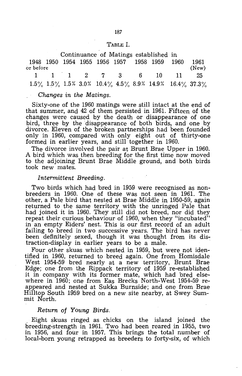#### TABLE 1.

Continuance of Matings established in 1948 1950 1954 1955 1956 1957 1958 1959 1960 1961 or before (New) 1 1 1 2 7 3 6 10 11 25

 $1.5\%$   $1.5\%$   $1.5\%$   $3.0\%$   $10.4\%$   $4.5\%$   $8.9\%$   $14.9\%$   $16.4\%$   $37.3\%$ 

#### *Changes in the Matings.*

Sixty-one of the 1960 matings were still intact at the end of that summer, and 42 of them persisted in 1961. Fifteen, of the changes were caused by the death or disappearance of one bird, three by the disappearance of both birds, and one by divorce. Eleven of the broken partnerships had been founded only in 1960, compared with only eight out of thirty-one formed in earlier years, and still together in 1960.

The divorce involved the pair at Brunt Brae Upper in 1960. A bird which was then breeding for the first time now moved to the adjoining Brunt Brae Middle ground, and both birds took new mates.

#### *Intermittent Breeding.*

Two birds which had bred in 1959 were recognised as nonbreeders in 1960. One of these was not seen in 1961. The other, a Pale bird that nested at Brae Middle in 1950-59, again returned to the same territory with the unringed Pale that had joined it in 1960. They still did not breed, nor did they repeat their curious behaviour of 1960, when they "incubated" in an empty Eiders' nest. This is our first record of an adult failing to breed in two successive years. The bird has never been definitely sexed, though it was thought from its distraction-display in earlier years to be a male.

Four other skuas which nested in 1959, but were not identified in 1960, returned to breed again. One from Homisdale West 1954-59 bred nearly at a new territory, Brunt Brae Edge; one from the Rippack territory of 1959 re-established it in company with its former mate, which had bred elsewhere in 1960; one from Eas Brecks North-West 1954-59 reappeared and nested at Sukka Burnside; and one from Brae Hilltop South 1959 bred on a new site nearby, at Swey Summit North.

#### *Return* of *Young Birds.*

Eight skuas ringed as chicks on the island joined the breeding-strength in 1961. Two had been reared in 1955, two in 1956, and four in 1957. This brings the total number of local-born young retrapped as breeders to forty-six, of which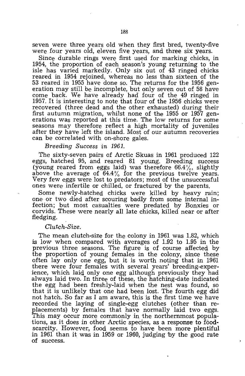seven were three years old when they first bred, twenty-five were four years old, eleven five years, and three six years.

Since durable rings were first used for marking chicks, in 1954, the proportion of each season's young returning to the isle has varied markedly. Only six out of 43 ringed chicks reared in 1954 rejoined, whereas no less than sixteen of the 53 reared in 1955 have done so. The returns for the 1956 generation may still be incomplete, but only seven out of 58 have come back. We have already had four of the 49 ringed in 1957. It is interesting to note that four of the 1956 chicks were recovered (three dead and the other exhausted) during their first autumn migration, whilst none of the 1955 or 1957 generations was reported at this time. The low returns for some seasons may therefore reflect a high mortality of juveniles after they have left the island. Most of our autumn recoveries can be correlated with on-shore gales.

*Breeding Success in 1961.* 

The sixty-seven pairs of Arctic Skuas in 1961 produced 122 eggs, hatched 95, and reared 81 young. Breeding success (young reared from eggs laid) was therefore  $66.4\%$ , slightly above the average of 64.4% for the previous twelve years. Very few eggs were lost to predators; most of the unsuccessful ones were infertile or chilled, or fractured by the parents.

Some newly-hatched chicks were killed by heavy rain; one or two died after scouring badly from some internal infection; but most casualties were predated by Bonxies or corvids. These were nearly all late chicks, killed near or after fledging.

#### *Clutch-Size.*

The mean clutch-size for the colony in 1961 was 1.82, which is low when compared with averages of 1.92 to 1.95 in the previous three seasons. The figure is of course affected by the proportion of young females in the colony, since these often lay only one egg, but it is worth noting that in 1961 there were four females with several years' breeding-experience, which laid only one egg although previously they had always laid two. In three of these, the hatching-date indicated the egg had been freshly-laid when the nest was found, so that it is unlikely that one had been lost. The fourth egg did not hatch. So far as I am aware, this is the first time we have recorded the laying of single-egg clutches (other than replacements) by females that have normally laid two eggs. This may occur more commonly in the northernmost populations, as it does in other Arctic species, as a response to foodscarcity. However, food seems to have been more plentiful in 1961 than it was in 1959 or 1960, judging 'by the good rate of success.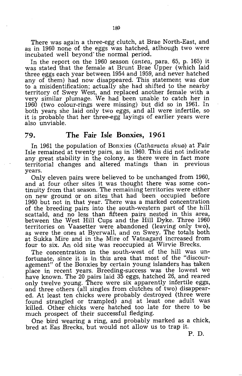There was again a three-egg clutch, at Brae. North-East, and as in 1960 none of the eggs was hatched, atlhough two were incubated well beyond'the normal period.

In the report on the 1960 season (antea, para. 65, p. 165) it was stated that the female at Brunt Brae Upper (which laid three eggs each year between 1954 and 1959, and never hatched any of them) had now disappeared. This statement was due to a misidentification; actually she had shifted to the nearby territory of Swey West, and replaced another female with a very similar plumage. We had been unable to catch her in 1960 (two colour-rings were missing) but did so in 1961. In both years she laid only two eggs, and all were infertile, so it is probable that her three-egg layings of earlier years were also unviable.

#### **79. The Fair Isle Bonxies, 1961**

In 1961 the population of Bonxies (Catharacta skua) at Fair Isle remained at twenty pairs, as in 1960. This did not indicate any great stability in the colony, as there were in fact more territorial changes and altered matings than in previous years.

Only eleven pairs were believed to be unchanged from 1960, and at four other sites it was thought there was some continuity from that season. The remaining territories were either on new ground or on sites that had 'been occupied before 1960 but not in that year. There was a marked concentration of the breeding pairs into the south-western part of the hill scattald, and no less than fifteen pairs nested in this area, between the West Hill Cups and the Hill Dyke. Three 1960 territories on Vaasetter were abandoned (leaving only two), as were the ones at Byerwall, and on Swey. The totals both at Sukka Mire and in the Mire of Vatnagard increased from four to six. An old site was reoccupied at Wirvie Brecks.

The concentration in the south-west of the hill was unfortunate, since it is in this area that most of the "discouragement" of the Bonxies by certain young islanders has taken place in recent years. Breeding-success was the lowest we have known. The 20 pairs laid 35 eggs, hatched 26, and reared only twelve young. There were six apparently infertile eggs, and three others (all singles from clutches of two) disappeared. At least ten chicks were probably destroyed (three were found strangled or trampled) and at least one adult was killed. Other chicks were hatched too late for there to be much prospect of their successful fledging.

One bird wearing a ring, and probably marked as a chick, bred at Eas Brecks, 'but would not allow us to trap it.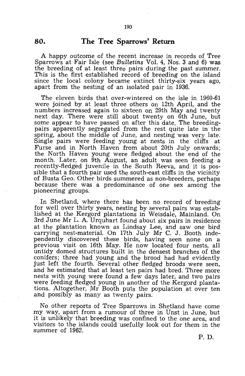#### **80. The Tree Sparrows' Return**

A happy outcome of the recent increase in records of Tree Sparrows at Fair Isle (see *Bulletins* Vol. 4, Nos. 3 and 6) was the breeding of 'at least three pairs during the past summer. This is the first established record of breeding on the island since the local colony became extinct thirty-six years ago, apart from the nesting of an isolated pair in 1936.

The eleven birds that over-wintered on the isle in 1960-61 were joined by at least three others on 12th April, and the numbers increased again to sixteen on 29th May and twenty next day. There were still about twenty on 6th June, but some appear to have passed on after this date. The breedingpairs apparently segregated from the rest quite late in the spring, about the middle of June, and nesting was very late. Single pairs were feeding young at nests in the cliffs at Furse and in North Haven from about 20th July onwards; the North Haven young were fledged about the end of the month. Later, on 9th August, an adult was seen feeding a recently-fledged juvenile in the South Reeva, and it is possible that a fourth pair used the south-east cliffs in the vicinity of Busta Geo. Other birds summered as non-breeders, perhaps because there was a predominance of one sex among the pioneering groups.

In Shetland, where there has been no record of breeding for well over thirty years, nesting by several pairs was established at the Kergord plantations in Weisdale, Mainland. On 3rd June Mr L. A. Urquhart found about six pairs in residence at the plantation known as Lindsay Lee, and saw one bird carrying nest-material. On 17th July  $Mr$  C. J. Booth independently discovered these birds, having seen none on a previous visit on 16th May. He now located four nests, all untidy domed structures built in the densest branches of the conifers; three had young and the brood had had evidently just left the fourth. Several other fledged broods were seen, and he estimated that at least ten pairs had bred. Three more nests with young were found a few days later, and two pairs were feeding fledged young in another of the Kergord plantations. Altogether, Mr Booth puts the population at over ten and possibly as many as twenty pairs.

No other reports of Tree Sparrows in Shetland have come my way, apart from a rumour of three in Unst in June, but it is unlikely that breeding was confined to the one area, and visitors to the islands could usefully look out for them in the summer of 1962.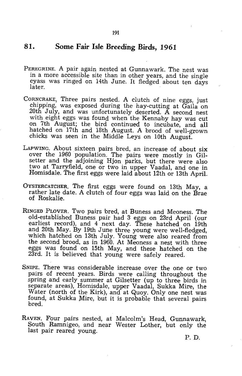# **81. Some Fair Isle Breeding Birds, 1961**

- PEREGRINE. A pair again nested at Gunnawark. The nest was in a more accessible site than in other years, and the single eyass was ringed on 14th June. It fledged about ten days later.
- CORNCRAKE, Three pairs nested. A clutch of nine eggs, just chipping, was exposed during the hay-cutting at Gaila on 20th July, and was unfortunately deserted. A second nest with eight eggs was found when the Kennaby hay was cut on 7th August; the bird continued to incubate, and all hatched on 17th and 18th August. A brood of well-grown chicks was seen in the Middle Leys on 10th August.
- LAPWING. About sixteen pairs bred, an increase of about six over the 1960 population. The pairs were mostly in Gilsetter and the adjoining Hjon parks, but there were also two at Tarryfield, one or two in upper Vaadal, and one in Homisdale. The first eggs were laid about 12th or 13th April.
- OYSTERCATCHER. The first eggs were found on 13th May, a rather late date. A clutch of four eggs was laid on the Brae of Roskalie.
- RINGED PLOVER. Two pairs bred, at Buness and Meoness. The old-established Buness pair had 3 eggs on 23rd April (our earliest record), and 4 next day. These hatched on 19th and 20th May. By 19th June three young were well-fledged, which hatched on 13th July. Young were also reared from the second brood, as in 1960. At Meoness a nest with three eggs was found on 15th May, and these hatched on the 23rd. It is believed that young were safely reared.
- SNIPE. There was considerable increase over the one or two pairs of recent years. Birds were calling throughout the spring and early summer at Gilsetter (up to three birds in separate areas), Homisdale, upper Vaadal, Sukka Mire, the Water (north of the Kirk), and at Quoy. Only one nest was found, at Sukka Mire, but it is probable that several pairs bred.
- RAVEN. Four pairs nested, at Malcolm's Head, Gunnawark, South Ramnigeo, and near Wester Lother, but only the last pair reared young.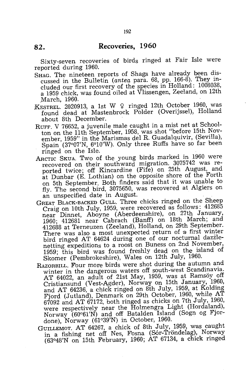# **82. Recoveries, 1960**

Sixty-seven recoveries of birds ringed at Fair Isle were reported during 1960.

- SHAG. The nineteen reports of Shags have already been discussed in the Bulletin (antea para. 68, pp. 166-8). They included our first recovery of the species in Holland: 1008038, a 1959 chick, was found oiled at Vlissengen, Zeeland, on 12th .March, 1960.
- KESTREL. 2020913, a 1st W  $\varphi$  ringed 12th October 1960, was found dead at Mastenbrock Polder (Overijssel), Holland about 8th December.
- RUFF. V 76652, a juvenile male caught in a mist net at Schoolton on the 11th September, 1958, was shot "before 15th November, 1959" in the Marismas del R. Guadalquivir, (Sevilla), Spain (37°07'N, 6°10'W). Only three Ruffs have so far been ringed on the Isle.
- ARCTIC SKUA. Two of the young birds marked in 1960 were recovered on their southward migration. 3075742 was reported twice; off Kincardine (Fife) on 25th August, and at Dunbar (E. Lothian) on the opposite shore of the Forth on 5th September. Both finders said that it was unable to fly. The second bird, 3075650, was recovered at Algiers on an unspecified date in August.
- GREAT BLACK-BACKED GULL. Three chicks ringed on the Sheep Craig on 10th July, 1959, were recovered as follows:  $412685$ near Dinnet, Aboyne (Aberdeenshire), on 27th January, 1960; 412681 near Cabrach (Banff) on 18th March; and 412688 at Terneuzen (Zeeland), Holland, on 29th September. There was also a most unexpected return of a first winter bird ringed AT 64624 during one of our nocturnal dazilenetting. expeditions to a roost on Buness on 2nd November, 1959; this bird was found freshly dead on the island of Skomer (Pembrokeshire), Wales on 12th July, 1960.
- RAZORBILL. Four more birds were shot during the autumn and winter in the dangerous waters off south-west Scandinavia. AT 64022, an adult of 21st May, 1959, was at Ramsöy off Cristiansund (Vest-Agder), Norway on 15th January, 1960, and AT 64236, a chick ringed on 8th July, 1959, at Kolding Fjord (Jutland), Denmark on 29th October, 1960, while AT 67092 and AT 67172, both ringed as chicks on 7th July, 1960, were respectively near the Holmengra Light (Hordaland), Norway  $(60°61'N)$  and off Batalden Island (Sogn og Fjordone), Norway (61°39'N) in October, 1960.
- GUILLEMOT. AT 64267, a chick of 8th July, 1959, was caught in a fishing net off Nes, Fosna (Sór-Tröndelag), Norway (630 48'N on 15th February, 1960; AT 67134, a chick ringed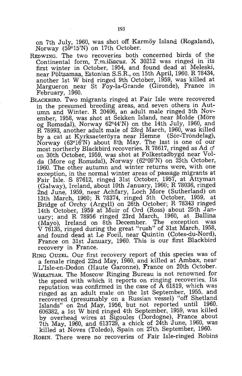on 7th July, 1960, was shot off Karmöy Island (Rogaland), Norway (59°15'N) on 17th October.

- REDWING. The two recoveries both concerned birds of the Continental form,  $T.m.iliacus.$  X 30212 was ringed in  $i$ ts first winter in October, 1954, and found dead at Meleski, near Poltsamaa, Estonian S.S.R., on 15th April, 1960. R 78434, another 1st W bird ringed 9th October, 1959, was killed at Margueron near St Foy-la-Grande (Gironde), France in February, 1960.
- BLACKBIRD. Two migrants ringed at Fair Isle were recovered in the presumed breeding areas, and seven others in Autumn and Winter. R 20406, an adult male ringed 5th November, 1958, was shot at Sekken Island, near Molde (Möre og Romsdal), Norway 62°44'N) on the 14th July, 1960, and R 78993, another adult male of 23rd March, 1960, was killed by a cat at Kyrksaeteröyra near Hemne (Sor-Trondelag), Norway (63°16'N) about 8th May. The last is one of our most northerly Blackbird recoveries. R 78617, ringed as Ad  $\phi$ on 30th October, 1959, was shot at Folkestadbygd near Volda (More og Romsdal), Norway (62°09'N) on 25th October, 1960. The other autumn and winter returns were, with one exception, in the normal winter areas of passage migrants at Fair Isle. S 87612, ringed 31st October, 1957, at Attyman (Galway), Ireland, about 10th January, 1960; R 78036, ringed 2nd June, 1959, near Achfary, Loch More (Sutherland) on 13th March, 1960; R 78374, ringed 5th October, 1959, at Bridge of Orchy (Argyll) on 26th October; R 78343 ringed 14th October, 1959 at Muir of Ord (Ross) about 25th January; and R 78956 ringed 23rd March, 1960, at Ballina (Mayo), Ireland on 8th December. The exception was V 76135, ringed during the great "rush" of 31st March, 1958, and found dead at Le Foeil, near Quintin (Cotes-du-Nord), France on 31st January, 1960. This is our first Blackbird recovery in France.
- RING OUZEL. Our first recovery report of this species was of a female ringed 22nd May, 1960, and killed at Ambax, near L'Isle-en-Dodon (Haute Garonne), France on 20th October.
- WHEATEAR. The Moscow Ringing Bureau is not renowned for the speed with which it reports on ringing recoveries. Its reputation was confirmed in the case of  $\bar{A}$  61819, which was ringed as an adult male on the 1st September, 1955, and recovered (presumably on a Russian vessel) "off Shetland Islands" on 2nd May, 1956, but not reported until  $1960$ . 606382, a 1st W bird ringed 4th September, 1959, was killed by overhead wires at Sigoules (Dordogne), France about 7th May, 1960, and 613729, a chick of 24th June, 1960, was killed at Noves (Toledo), Spain on 27th September, 1960.

ROBIN. There were no recoveries of Fair Isle-ringed Robins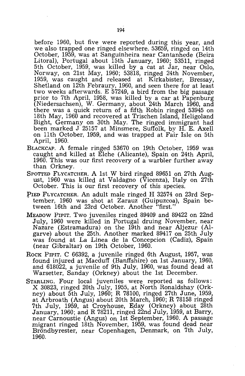before 1960, but five were reported during this year, and we also trapped one ringed elsewhere. 53659, ringed on 14th October, 1959, was at Sanguinheira near Cantanhede (Beira Litoral), Portugal about 15th January, 1960; 53511, ringed 5th October, 1959, was killed by a cat at Jar, near Oslo, Norway, on 21st May, 1960; 53818, ringed 24th November, 1959, was caught and released at Kirkabister, Bressay, Shetland on 12th Febraury, 1960, and seen there for at least two weeks afterwards. E 57249, a bird from the big passage prior to 7th April, 1958, was killed by a car at Papenburg (Niedersachsen), W. Germany, about 24th March 1960, and there was a quick return of a fifth Robin ringed 53945 on 18th May, 1960 and recovered at Trischen Island, Heligoland Bight, Germany on 30th May. The ringed immigrant had been marked J 25157 at Minsmere, Suffolk, by H. E. Axell on 11th October, 1959, and was trapped at Fair Isle on 5th April, 1960. .

- BLACKCAP. A female ringed 53670 on 19th October, 1959 was caught and killed at Elche (Alicante), Spain on 24th April, 1960. This was our first recovery of a warbler further away than Orkney. .
- SPOTTED FLYCATCHER. A 1st W bird ringed 89651 on 27th August, 1960 was killed at Valdagno (Vicenza), Italy on 27th October. This is our first recovery of this species.
- PIED FLYCATCHER. An adult male ringed H 32574 on 23rd September, 1960 was shot at Zarauz (Guipuzcoa), Spain between 16th and 23rd October. Another "first."
- MEADOW PIPIT. Two juveniles ringed 89409 and 89422 on 22nd July, 1960 were killed in Portugal druing November, near Nazare (Estramadura) on the 19th and near Aljezur (Algarve) about the 25th. Another marked 89417 on 25th July was found at La Linea de la Concepcion (Cadiz), Spain (near Gibraltar) on 19th October, 1960.
- Rock PIPIT. C 66392, a juvenile ringed 6th August, 1957, was found injured at Macduff (Banffshire) on 1st January, 1960, and 618022, a juvenile of 9th July, 1960, was found dead at Warsetter, Sanday (Orkney) about the 1st December.
- STARLING. Four local juveniles were reported as follows: X 30823, ringed 20th July, 1955, at North Ronaldshay (Orkney) about 5th July, 1960; R 78100, ringed 27th June, 1959, at Arbroath (Angus) about 20th March, 1960; R 78158 ringed 7th July, 1959, at Croyhouse, Eday (Orkney) about 28th January, 1960; and R 78211, ringed 22nd July, 1959, at Barry, near Carnoustie (Angus) on 1st September, 1960. A passage migrant ringed 18th November, 1959, was found dead near Bröndbyrester, near Copenhagen, Denmark, on 7th July, 1960.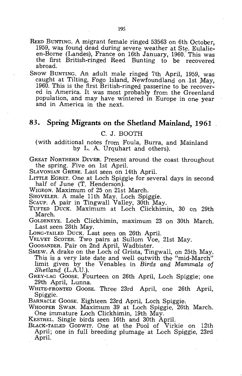- REED BUNTING. A migrant female ringed 53563 on 6th October, 1959, was found dead during severe weather at Ste. Eu1alieen-Borne (Landes), France on 16th January, 1960. This was the first British-ringed Reed Bunting to be recovered abroad.
- SNOW BUNTING. An adult male ringed 7th April, 1959, was caught at Tilting, Fogo Island, Newfoundland on 1st May, 1960. This is the first British-ringed passerine to be recovered in America. It was most probably from the Greenland population, and may have wintered in Europe in one year and in America in the next.

# **83. Spring Migrants on the Shetland Mainland, 1961**

#### C. J. BOOTH

(with additional notes from Foula, Burra, and Mainland by L. A. Urquhart and others).

GREAT NORTHERN DIVER. Present around the coast throughout the spring. Five on 1st April.

SLAVONIAN GREBE. Last seen on 14th April.

LITTLE EGRET. One at Loch Spiggie for several days in second half of June (T. Henderson).

WIGEON. Maximum of 25 on 21st March.

SHOVELER. A male 11th May. Loch Spiggie.

- SCAUP. A pair in Tingwall Valley, 30th May.
- TUFTED DUCK. Maximum at Loch Clickhimin, 30 on 29th March.

GOLDENEYE. Loch Clickhimin, maximum 23 on 30th March. Last seen 28th May.

LoNG-TAILED DUCK. Last seen on 26th April.

VELVET SCOTER. Two pairs at Sullom Voe, 21st May.<br>GOOSANDER. Pair on 2nd April, Wadbister.

SMEW. A drake on the Loch of Grista, Tingwall, on 25th May. This is a very late date and well outwith the "mid-March" limit given by the Venables in *Birds and Mammals* of *Shetland* (L.A.U.).

GREY-LAG GOOSE. Fourteen on 26th April, Loch Spiggie; one 29th April, Lunna.

WHITE-FRONTED GOOSE. Three 23rd April, one 26th April, Spiggie.

BARNACLE GOOSE. Eighteen 23rd April, Loch Spiggie.

WHOOPER SWAN. Maximum 39 at Loch Spiggie, 26th March. One immature Loch Clickhimin, 19th May.

KESTREL. Single birds seen 16th and 30th April.

BLACK-TAILED GODWIT. One at the Pool of Virkie on 12th April; one in full breeding plumage at Loch Spiggie, 23rd April.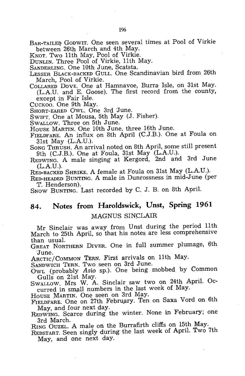- BAR-TAILED GODWIT. One seen several times at Pool of Virkie between 26th March and 4th May.
- KNOT. Two 11th May, Pool of Virkie.
- DUNLIN. Three Pool of Virkie, 11th May.
- SANDERLING. One 10th June, Scatsta.
- LESSER BLACK-BACKED GULL. One Scandinavian bird from 26th March, Pool of Virkie.
- COLLARED DOVE. One at Hamnavoe, Burra Isle, on 31st May. (L.A.U. and E. Goose). The first record from the county, except in Fair Isle.
- CUCKOO. One 9th May.
- SHORT-EARED OWL. One 3rd 'June.
- SWIFT. One at Mousa, 5th May (J. Fisher).
- SWALLOW. Three on 5th June.
- HOUSE MARTIN. One 10th June, three 16th June.
- FIELDFARE. An influx on 8th April (C.J.B.). One at Foula on 31st May (L.A.U.).
- SONG THRUSH. An arrival noted on 8th April, some still present 9th (C.J.B.). One at Foula, 31st May (L.A.U.).
- REDWING. A male singing at Kergord, 2nd and 3rd June (L.A.U.).
- RED-BACKED SHRIKE. A female at Foula on 31st May (L.A.U.).
- RED-HEADED BUNTING. A male in Dunrossness in mid-June (per T. Henderson).
- SNOW BUNTING. Last recorded by C. J. B. on 8th April.

# **84. Notes from Haroldswick, Unst, Spring 1961**  ).VIAGNUS SINCLAIR

Mr Sinclair was away from Unst during the period 11th March to 25th April, so that his notes are less comprehensive than usual.

GREAT NORTHERN DIVER. One in full summer plumage, 6th 'June.

ARCTIC/COMMON TERN. First arrivals on 11th May.

SANDWICH TERN. Two seen on 3rd June.

OWL (probably *Asia* sp.). One being mobbed by Common Gulls on 21st May.

SWALLOW. Mrs W. A. Sinclair saw two on 24th April. Occurred in small numbers in the last week of May.

HOUSE MARTIN. One seen on 3rd May.

- FIELDFARE. One on 27th February. Ten on Saxa Vord on 6th May, and four next day.
- REDWING. Scarce during the winter. None in February; one 3rd March.

RING OUZEL. A male on the Burrafirth cliffs on 15th May.

REDSTART. Seen singly during the last week of April. Two 7th May, and one next day.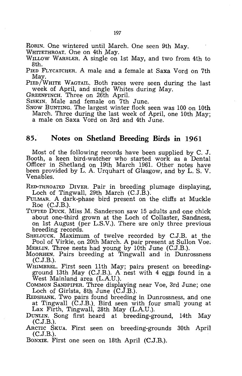ROBIN. One wintered until March. One seen 9th May.

WHITETHROAT. One on 4th May.

WILLOW WARBLER. A single on 1st May, and two from 4th to 8th.

PIED FLYCATCHER. A male and a female at Saxa Vord on 7th May.

PIED/WHITE WAGTAIL. Both races were seen during the last week of April, and single Whites during May.

GREENFINCH. Three on 26th April.

SISKIN. Male and female on 7th June.

SNOW BUNTING. The largest winter flock seen was 100 on 10th March. Three during the last week of April, one 10th May; a male on Saxa Vord on 3rd and 4th June.

### **85.** Notes on Shetland Breeding Birds in 1961

Most of the following records have been supplied by C. J. Booth, a keen bird-watcher who started work as a Dental Officer in Shetland on 19th March 1961. Other notes have been provided by L. A Urquhart of Glasgow, and by L. S. V. Venables.

RED-THROATED DIVER. Pair in breeding plumage displaying, Loch of Tingwall, 29th March (C.J.B.).

- fuLMAR. A dark-phase bird present on the cliffs at Muckle Roe (C.J.B.).
- TUFTED DUCK. Miss M. Sanderson saw 15 adults and one chick about one-third grown at the Loch of Collaster, Sandness, on 1st August (per L.S.V.). There are only three previous breeding records.

SHELDUCK. Maximum of twelve recorded by C.J.B. at the Pool of Virkie, on 20th March. A pair present at Sullon Voe; MERLIN. Three nests had young by 10th June (C.J.B.).

MOORHEN. Pairs breeding at Tingwall and in Dunrossness  $(C.J.B.).$ 

WHIMBREL. First seen 11th May; pairs present on breedingground 13th May (C.J.B.). A nest with 4 eggs found in a West Mainland area (L.AU.).

COMMON SANDPIPER. Three displaying near Voe, 3rd June; one Loch of Girlsta, 8th June (C.J.B.).

REDSHANK. Two pairs found breeding in Dunrossness, and one at Tingwall (C.J.B.). Bird seen with four small young at Lax Firth, Tingwall, 28th May (L.AU.).

- DUNLIN. Song first heard at breeding-ground, 14th May (C.J.B.).
- ARCTIC SKUA. First seen on breeding-grounds 30th April (C.J.B.).
- BONXIE. First one seen on 18th April (C.J.B.).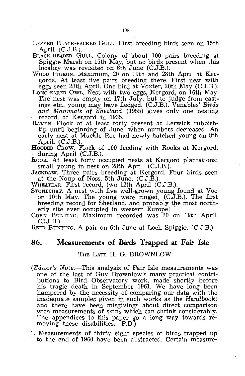- LESSER BLACK-BACKED GULL. First breeding birds seen on 15th April (C.J.B.).
- BLACK-HEADED GULL. Colony of about 100 pairs breeding at Spiggie Marsh on 15th May, but no birds present when this locality was revisited on 6th June (C.J.B.).
- WOOD PIGEON. Maximum, 20 on 19th and 28th April at Kergords. At least five pairs breeding there. First nest with eggs seen 28th April. One bird at Voxter, 20th May (C.J.B.).
- LONG-EARED OWL. Nest with two eggs, Kergord, on 16th May. The nest was empty on 17th July, but to judge from castings etc., young may have fledged. (C.J.B.). Venables' *Birds and Mammals* of *Shetland* (1955) gives only one nesting record, at Kergord in 1935.
- RAVEN. Flock of at least forty present at Lerwick rubbishtip until beginning of June, when numbers decreased. An early nest at Muckle Roe had newly-hatched young on 8th April. (C.J.B.).
- HOODED CROW. Flock of 100 feeding with Rooks at Kergord, during April (C.J.B.).
- ROOK. At least forty occupied nests at Kergord plantations; small young in nest on 28th April. (C.J.B.).
- JACKDAW. Three pairs breeding at Kergord. Four birds seen at the Noup of Noss, 5th June. (C.J.B.).
- WHEATEAR. First record, two 12th April (C.J.B.).
- STONECHAT. A nest with five well-grown young found at Voe on 10th May. The young were ringed. (C.J.B.). The first breeding record for Shetland, and probably the most northerly site ever occupied in western Europe!
- CORN BUNTING. Maximum recorded was 20 on 19th April.  $(C.J.B.).$

REED BUNTING. A pair on 6th June at Loch Spiggie. (C.J.B.).

#### **86. Measurements of Birds Trapped at Fair Isle**

#### THE LATE H. G. BROWNLOW

- *(Editor's Note.*—This analysis of Fair Isle measurements was one of the last of Guy Brownlow's many practical contributions to Bird Observatory work, made shortly before his tragic death in September 1961. We have long been hampered by the necessity of comparing our data with the inadequate samples given in such works as the *Handbook;*  and there have been misgivings about direct comparison with measurements of skins which can shrink considerably. The appendices to this paper go a long way towards removing these disabilities.—P.D.).
- 1. Measurements of thirty eight species of birds trapped up to the end of 1960 have been abstracted. Certain measure-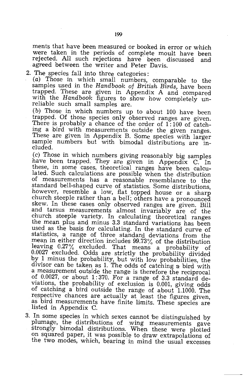ments that have been measured or booked in error or which were taken in the periods of complete moult have been rejected. All such rejections have been discussed and agreed between the writer and Peter Davis.

2. The species fall into three categories:

(a) Those in which small numbers, comparable to the samples used in the *Handbook* of *British Birds,* have been trapped. These are given in Appendix A and compared with the *Handbook* figures to show how completely unreliable such small samples are.

(b) Those in which numbers up to about 100 have been trapped. Of those species only observed ranges are given. There is probably a chance of the order of 1:100 of catching a bird with measurements outside the given ranges. These are given in Appendix B. Some species with larger sample numbers but with bimodal distributions are included.

(c) Those in which numbers giving reasonably big samples have been trapped. They are given in Appendix C. In these, in some cases, theoretical ranges have been calculated. Such calculations are possible when the distribution of measurements has a reasonable resemblance to the standard bell-shaped curve of statistics. Some distributions, however, resemble a low, flat topped house or a sharp church steeple rather than a bell; others have a pronounced skew. In these cases only observed ranges are given. Bill and tarsus measurements almost invariably are of the church steeple variety. In calculating theoretical ranges the mean plus and minus 3.3 standard variations has been used as the basis for calculating. In the standard curve of statistics, a' range of three standard deviations from the mean in either direction includes 99.73% of the distribution leaving 0.27% excluded. That means a probability of 0.0027 excluded. Odds are strictly the probability divided by 1 minus the probability, but with low probabilities, the divisor can be taken as 1. The odds of catching a bird with a measurement outside the range is therefore the reciprocal of 0.0027, or about 1: 370. For a range of 3.3 standard deviations, the probability of exclusion is 0.001, giving odds of catching a bird outside the range of about 1.1000. The respective chances are actually at least the figures given, as bird measurements have finite limits. These species are listed in Appendix C.

3. In some species in which sexes cannot 'be distinguished by plumage, the distributions of wing measurements gave strongly bimodal distributions. When these were plotted on squared paper, it was possible to draw extrapolations of the two modes, which, bearing in mind the usual excesses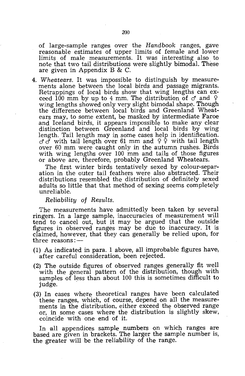of large-sample ranges over the *Handbook* ranges, gave reasonable estimates of upper limits of female and lower limits of male measurements. It was interesting also to note that two tail distributions were slightly bimodal. These are given in Appendix B & C.

*4. Wheatears.* It was impossible to distinguish by measurements alone between the local birds and passage migrants. Retrappings of local birds show that wing lengths can exceed 100 mm by up to 4 mm. The distribution of  $\sigma$  and  $\varphi$ wing lengths showed only very slight bimodal shape. Though the difference between local birds and Greenland Wheatears may, to some extent, be masked by intermediate Faroe and Iceland birds, it appears impossible to make any clear distinction between Greenland and local birds by wing length. Tail length may in some cases help in identification.  $\sigma \bar{\sigma}$  with tail length over 61 mm and  $\varphi \bar{\varphi}$  with tail length over 60 mm were caught only in the autumn rushes. Birds with wing lengths over 100 mm and tails of those figures or above are, therefore, probably Greenland Wheatears.

The first winter birds tentatively sexed by colour-separation in the outer tail feathers were also abstracted. Their distributions resembled the distribution of definitely sexed adults so little that that method of sexing seems completely unreliable.

*Reliability* of *Results.* 

The measurements have admittedly been taken by several ringers. In a large sample, inaccuracies of measurement will tend to cancel out, but it may be argued that the outside figures in observed ranges may be due to inaccuracy. It is claimed, however, that they can generally be relied upon, for three reasons: $-$ 

- (1) As indicated in para. 1 above, all improbable figures have, after careful consideration, been rejected.
- (2) The outside figures of observed ranges generally fit well with the general pattern of the distribution, though with samples of less than about 100 this is sometimes difficult to judge.
- (3) In cases where theoretical ranges have been calculated these ranges, which, of course, depend on all the measurements in the distribution, either exceed the observed range or, in some cases where the distribution is slightly skew, coincide with one end of it.

In all appendices sample numbers on which ranges are based are given in brackets. The larger the sample number is, the greater will be the reliability of the range.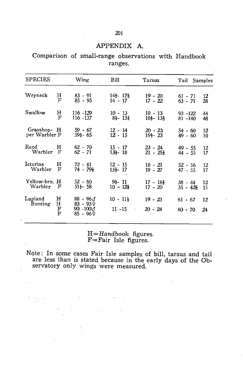# APPENDIX A.

Comparison of small-range observations with Handbook ranges.

| <b>SPECIES</b>     |                  | Wing                                                        | Bill                               | Tarsus                                           | Tail Samples           |          |
|--------------------|------------------|-------------------------------------------------------------|------------------------------------|--------------------------------------------------|------------------------|----------|
| Wryneck            | н                | $83 - 91$                                                   | $14\frac{1}{2} - 17\frac{1}{2}$    | $19 - 20$                                        | $61 - 71$              | 12       |
|                    | F                | $85 - 95$                                                   | $14 - 17$                          | $17 - 22$                                        | $63 - 71$              | 28       |
| Swallow            | н                | $116 - 129$                                                 | $10 - 13$                          | $10 - 13$                                        | $93 - 122$             | 44       |
|                    | F                | $116 - 137$                                                 | $8\frac{1}{2}$ - 13 $\frac{1}{2}$  | $10\frac{1}{2}$ - 13 <sup>1</sup> / <sub>2</sub> | $81 - 140$             | 48       |
| Grasshop- H        |                  | $59 - 67$                                                   | $12 - 14$                          | $20 - 23$                                        | $54 - 60$              | 12       |
| per Warbler F      |                  | $59\frac{1}{2} - 65$                                        | $12 - 15$                          | $19\frac{1}{2} - 23$                             | $49 - 60$              | 10       |
| Reed               | н                | $62 - 70$                                                   | $15 - 17$                          | $23 - 24$                                        | $49 - 55$              | 12       |
| Warbler            | F                | $62 - 71$                                                   | $13 - 18$                          | $21 - 25\frac{1}{2}$                             | $44 - 55$              | 17       |
| Icterine           | н                | 72 - 81                                                     | $12 - 15$                          | $18 - 21$                                        | $52 - 56$              | 12       |
| Warbler            | F                | $74 - 79\frac{1}{2}$                                        | $13\frac{1}{2} - 17$               | $19 - 27$                                        | $47 - 55$              | 17       |
| Yellow-brn. H      | F                | $52 - 60$                                                   | $9\frac{1}{2}$ - 11                | $17 - 18\frac{1}{2}$                             | $38 - 44$              | 12       |
| Warbler            |                  | $51\frac{1}{2}$ 58                                          | $10 - 12\frac{1}{2}$               | $17 - 20$                                        | $35 - 42\frac{1}{2}$   | 15       |
| Lapland<br>Bunting | н<br>н<br>F<br>F | $88 - 96\sigma$<br>$83 - 939$<br>$90 - 100 \AA$<br>85 - 969 | $10 - 11\frac{1}{2}$<br>$11' - 15$ | $19 - 23$<br>$20 - 24$                           | $61 - 67$<br>$60 - 70$ | 12<br>24 |

 $H=Handbook$  figures.  $F=$ Fair Isle figures.

Note: In some cases Fair Isle samples of bill, tarsus and tail are less than is stated because in the early days of the Observatory only wings were measured.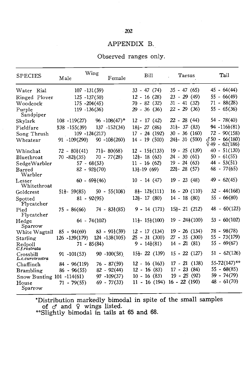#### 202

#### APPENDIX B.

#### Observed ranges only.

| <b>SPECIES</b>               | Male                     | Wing<br>Female                     | B <sub>111</sub>                                       | Tarsus<br>a.                   | Tail                               |
|------------------------------|--------------------------|------------------------------------|--------------------------------------------------------|--------------------------------|------------------------------------|
| Water Rial                   |                          | $107 - 131(59)$                    | $33 - 47(74)$                                          | $35 - 47(65)$                  | $45 - 64(44)$                      |
| Ringed Plover<br>Woodcock    |                          | $125 - 137(50)$<br>$175 - 204(45)$ | $12 - 16(28)$<br>$70 - 82(32)$                         | $23 - 29(49)$<br>$31 - 41(32)$ | $55 - 66(49)$<br>$71 - 88(28)$     |
| Purple                       |                          | $119 - 136(36)$                    | $29 - 36(36)$                                          | $22 - 29(36)$                  | $55 - 65(36)$                      |
| Sandpiper                    |                          |                                    |                                                        |                                |                                    |
| Skylark                      | $108 - 119(27)$          | $96 - 108(47)^*$                   | $12 - 17(42)$                                          | $22 - 28(44)$                  | $54 - 78(40)$                      |
| Fieldfare                    | $138 - 155(39)$          | $137 - 152(34)$                    | $18\frac{1}{2} - 27$ (86)                              | $31\frac{1}{2}$ $37(83)$       | $94 - 116\frac{1}{2}(81)$          |
| Song Thrush                  |                          | $109 - 124(217)$                   | $17 - 24(192)$                                         | $30 - 36(160)$                 | $72 - 90(158)$                     |
| Wheatear                     | $91 - 109(290)$          | $90 - 108(260)$                    | $14 - 19(500)$                                         | $24\frac{1}{2} - 31$ (500)     | $350 - 66(180)$<br>$949 - 62(186)$ |
| Whinchat                     | $72 - 80\frac{1}{2}(41)$ | $71\frac{1}{2}$ - 80(68)           | $12 - 15\frac{1}{2}(133)$                              | $19 - 25(139)$                 | $40 - 51(130)$                     |
| Bluethroat                   | $70 - 82\frac{1}{2}(35)$ | $70 - 77(28)$                      | $12\frac{1}{2}$ - 18 (63)                              | $24 - 30(61)$                  | $50 - 61(55)$                      |
| SedgeWarbler                 |                          | $57 - 68(53)$                      | $11 - 16(62)$                                          | $19 - 24(63)$                  | $44 - 53(51)$                      |
| Barred<br>Warbler            |                          | $82 - 92\frac{1}{2}(70)$           | $13\frac{1}{2} - 19(69)$                               | $22\frac{1}{2}$ - 28 (57)      | $68 - 77(65)$                      |
| Lesser<br>Whitethroat        |                          | $60 - 69\frac{1}{2}(46)$           | $10 - 14(47)$                                          | $19 - 23(48)$                  | $49 - 62(45)$                      |
| Goldcrest                    | $51\frac{1}{2}$ - 59(85) | $50 - 55(108)$                     | $8\frac{1}{2}$ - 12 $\frac{1}{2}(111)$                 | $16 - 20(110)$                 | $32 - 44(168)$                     |
| Spotted<br>Flycatcher        |                          | $81 - 92(95)$                      | $12\frac{1}{2} - 17(80)$                               | $14 - 18(80)$                  | $55 - 66(80)$                      |
| Pied<br>Flycatcher           | $75 - 86(66)$            | $74 - 83\frac{1}{2}(85)$           | $9 - 14(171)$                                          | $15\frac{1}{2} - 21(212)$      | $48 - 60(123)$                     |
| Hedge<br>Sparrow             |                          | $64 - 74(102)$                     | $11\frac{1}{2}$ - 15 <sup>1</sup> / <sub>2</sub> (100) | $19 - 24\frac{1}{2}(100)$      | $53 - 60(102)$                     |
| White Wagtail                | $85 - 94(69)$            | $83 - 91\frac{1}{2}(59)$           | $12 - 17(134)$                                         | $19 - 26(134)$                 | $78 - 98(78)$                      |
| Starling                     | 126 -139(179)            | $124 - 138(105)$                   | $25 - 31(300)$                                         | $27 - 35(300)$                 | $55 - 73(179)$                     |
| Redpoll<br>C.f.rostrata      |                          | $71 - 85(84)$                      | $9 - 14\frac{1}{2}(81)$                                | $14 - 21(81)$                  | $55 - 69(67)$                      |
| Crossbill<br>L.c.curvirostra | $91 - 101(53)$           | $90 - 100(58)$                     | $15\frac{1}{2}$ - 22 (139)                             | $15 - 22(127)$                 | $51 - 62(126)$                     |
| Chaffinch                    | $84 - 96(119)$           | $76 - 87(59)$                      | $12 - 16(163)$                                         | $17 - 21(138)$                 | $55-72(147)$ **                    |
| Brambling                    | $86 - 96(55)$            | $82 - 92(44)$                      | $12 - 16(83)$                                          | $17 - 23(84)$                  | $55 - 68(85)$                      |
| Snow Bunting 101 -114(61)    |                          | $97 - 109(37)$                     | $10 - 16(83)$                                          | $19 - 25(92)$                  | $59 - 74(79)$                      |
| House<br>Sparrow             | $71 - 79(55)$            | $69 - 77(33)$                      | $11 - 16(194)$                                         | $16 - 22(190)$                 | $48 - 61(70)$                      |

\*Distribution markedly bimodal in spite of the small samples of  $\sigma$  and  $\varphi$  wings listed.

\*'\*Slightly bimodal in tails at 65 and 68.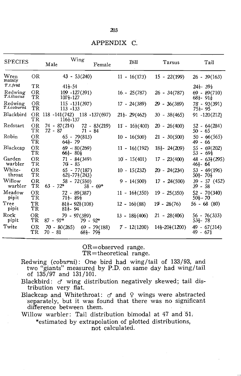#### **APPENDIX** C.

| <b>SPECIES</b>         |                   | Male                            | Wing<br>Female                                         | Bill                       | Tarsus                                | Tail                                              |
|------------------------|-------------------|---------------------------------|--------------------------------------------------------|----------------------------|---------------------------------------|---------------------------------------------------|
| Wren<br>mainly         | OR                |                                 | $43 - 53(240)$                                         | $11 - 16(173)$             | $15 - 22(199)$                        | $26 - 39(163)$                                    |
| T.t. frid              | TR                | $41\frac{1}{2} - 54$            |                                                        |                            |                                       | $24\frac{1}{2}$ 39 $\frac{1}{2}$                  |
| Redwing<br>T.i.iliacus | ΟR<br>TR          | $107\frac{1}{2} - 127$          | $109 - 127(391)$                                       | $16 - 25(787)$             | $26 - 34(787)$                        | 69 - 89(710)<br>$68\frac{1}{2}$ - $91\frac{1}{2}$ |
| Redwing<br>T.i.coburni | ΟR<br>TR          | $113 - 133$                     | $115 - 131(397)$                                       | $17 - 24(389)$             | $29 - 36(389)$                        | 78 - 93(391)<br>$75\frac{1}{2} - 95$              |
| Blackbird              | OR.<br>ТR         | 116}-137                        | 118 -141(742) 118 -137(697)                            | $21\frac{1}{2}$ - 29(462)  | $30 - 38(465)$                        | $91 - 120(212)$                                   |
| Redstart               | ΟR<br>TR          | 74 - 87(214)<br>72 - 87         | $72 - 83(219)$<br>$71 - 84$                            | $11' - 16\frac{1}{2}(400)$ | $20 - 26(400)$                        | $52 - 64(284)$<br>$50 - 65$                       |
| Robin                  | OR<br>TR.         | $64\frac{1}{2} - 79$            | $65 - 79(813)$                                         | $10 - 16(500)$             | $21 - 30(500)$                        | $50 - 66(565)$<br>49 - 66                         |
| Blackcap               | OR.<br>TR         | $66\frac{1}{2}$ $80\frac{1}{2}$ | $69 - 80(269)$                                         | $11 - 16\frac{1}{2}(192)$  | $18\frac{1}{2} - 24(209)$             | $55 - 69(202)$<br>$53 - 69\frac{1}{2}$            |
| Garden<br>warbler      | OR<br>$_{\rm TR}$ | $70 - 85$                       | $71 - 84(349)$                                         | $10 - 15(401)$             | $17 - 23(400)$                        | $48 - 63\frac{1}{2}(295)$<br>$46\frac{1}{2}$ 64   |
| White-<br>throat       | OR<br>TR          |                                 | $65 - 77(187)$<br>$62\frac{1}{2} - 77\frac{1}{2}(243)$ | $10 - 15(232)$             | $20 - 24(234)$                        | $53 - 69(196)$<br>$50\frac{1}{2} - 70\frac{1}{2}$ |
| Willow<br>warbler      | OR<br>TR.         | $63 - 72*$                      | $58 - 72(550)$<br>$58 - 69*$                           | $9 - 14(500)$              | $17 - 24(500)$                        | $39 - 57(452)$<br>$39 - 58$                       |
| Meadow<br>pipit        | OR.<br>TR         | $71\frac{1}{2} - 89\frac{1}{2}$ | 72 - 89(387)                                           | $11 - 16\frac{1}{2}(350)$  | $19 - 25(350)$                        | $52 - 70(340)$<br>$50\frac{1}{2} - 70$            |
| Tree<br>pipit          | TR<br>TR          | $81\frac{1}{2}$ 94              | $81\frac{1}{2}$ + $92\frac{1}{2}(108)$                 | $12 - 16\frac{1}{2}(88)$   | $19 - 26(76)$                         | $56 - 68(80)$                                     |
| Rock<br>pipit          | OR<br>TR          | $87 - 97*$                      | $79 - 97(389)$<br>$79 - 92*$                           | $13 - 18\frac{1}{2}(406)$  | $21 - 28(406)$                        | $56 - 76(333)$<br>$53\frac{1}{2}$ 78              |
| Twite                  | OR<br>TR          | $70 - 80(265)$<br>$70 - 81$     | $69 - 79(188)$<br>$68\frac{1}{2}$ - 79 $\frac{1}{2}$   | $7 - 12(1200)$             | $14\frac{1}{2} - 20\frac{1}{2}(1200)$ | $49 - 67(314)$<br>$49 - 67\frac{1}{2}$            |

OR=observed range. TR=theoretieaI range.

Redwing (coburni): One bird had wing/tail of 133/93, and two "giants" measured by P.D. on same day had wing/tail of 135/97 and 131/101.

Blackbird:  $\sigma$  wing distribution negatively skewed; tail distribution very fiat.

Blackcap and Whitethroat:  $\sigma$  and  $\Omega$  wings were abstracted separately, but it was found that there was no significant difference between them.

Willow warbler: Tail distribution bimodal at 47 and 51. \*estimated by extrapolation of plotted distributions,

not calculated.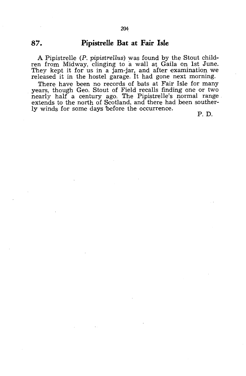# **87. Pipistrelle Bat at Fair Isle**

A Pipistrelle *(P. pipistrellus)* was found by the Stout children from Midway, clinging to a wall at Gaila on 1st June. They kept it for us in a jam-jar, and after examination we released it in the hostel garage. It had gone next morning.

There have been no records of bats at Fair Isle for many years, though Geo. Stout of Field recalls finding one or two nearly half a century ago. The Pipistrelle's normal range extends to the north of Scotland, and there had been southerly winds for some days before the occurrence.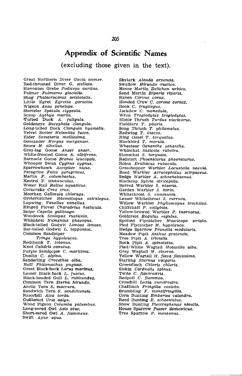# **Appendix of Scientific Names**

(excluding those given in the text).

Great Northern Diver Gavia immer. Red-throated Diver G. stellata. Slavonian Grebe Podiceps auritus. Fulmar Fulmarus glacialis.  $Shag$  Phalacrocorax aristotelis. Little Egret Egretta garzetta. Wigeon Anas penelope. Shoveler Spatula clypeata. Scaup Aythya marila.<br>Tufted Duck A. fuligula. Goldeneye Bucephala clangula. Long-tailed Duck Clangula hyemalis. Velvet Scoter Melanitta fusca. Eider Somateria mollissima. Goosander Mergus merganser. Smew M. albellus. Grey-Iag Goose Anser anser. White-fronted Goose A. albifrons. Barnacle Goose Branta leucopsis. Whooper Swan *Cygnus cygnus*.<br>Sparrowhawk *Accipiter nisus*. Peregrine Falco peregrinus. Merlin F. columbarius.<br>Kestrel F. *tinnunculus*. Water Rail Rallus aquaticus. Corncrake Crex crex. Moorhen Gallinula chlorups. Oystercatcher Haematopus ostralegus. Lapwing. Vanellus vanellus. Ringed Plover Charadrius hiaticula. Snipe Capella gallinago. Woodcock Scolopax rusticola. Whlmbrel Numenius phaeopus. Black-tailed Godwit Limosa limosa. Bar-tailed Godwit L. lapponica. Common Sandpiper Tringa hypoleucos. Redshank T. totanus. Knot Calidris canutus. Purple Sandpiper C. maritima. Dunlin *C. alpina.*<br>Sanderling *Crocethia alba.* Ruff Philomachus pugnax. Great Black-back Larus marinus. Lesser Black-back *L. fuscus.*<br>Black-headed Gull *L. ridibundus.* Common Tern Sterna hirundo. Arctic Tern S. macrura. Sandwich Tern S. sandvicensis. Razorbill Alca torda. Guillemot Uria aalge. Wood Pigeon Columba palumbus. Long-eared Owl Asio otus. Short-eared Owl A. flammeus. 'Swift Apus apus.

Skylark Alauda arvensis. Swallow Hirundo rustica. House Martin Delichon urbica. Sand Martin Riparia riparia. Raven Corvus eorax. Hooded Crow C. corone cornix. Rook C. frugilegus. Jackdaw C. monedula. Wren Troglodytes troglodytes. Mistle Thrush Turdus viscivorus. Fieldfare T. pilaris. Song Thrush T. philomelus. Redwing T. iliacus. Ring Ouzel T. torquatus. Blackbird T. merula. Wheatear Oenanthe oenanthe. Whinchat Saxicola rubetra. Stonechat S. torquata. Redstart Phoenicurus phoenicurus. Robin Erithacus rubecula. Grasshopper Warbler Locustella naevia. Reed Warbler *Acrocephalu<sub>s</sub> scirpaceus.*<br>Sedge Warbler *A. schoenabaenus.* Blackcap Sylvia atricapilla. Barred Warbler *S. nisoria.*<br>Garden Warbler *S. borin.* Whitethroat S. communis. Lesser Whitethroat S. curruca. Willow Warbler Phylloscopus trochilus. Chiffchaff P. collybita. Yellow-browed Warbler P. inornatus. Goldcrest Regulus regulus. Spotted Flycatcher Muscicapa striata. Pied Flycatcher M. hypoleuca. Hedge Sparrow Prunella modularis. Meadow Pipit Anthus pratensis. Tree Pipit A. trivialis. Rock Pipit A. spinoletta. Pied/White Wagtail Motacilla alba. Grey Wagtail M. cinerea. Yellow Wagtail M. flava flavissima. Starling Sturnus vulgaris. Greenfinch Chloris chloris. Siskin Carduelis spinus. Twite C. flavirostris. Redpoll C. flammea. Crossbill Loxia curvirostra. Chaffinch Fringilla coelebs. Brambling F. montifringilla. Corn Bunting Emberiza calandra. Reed Bunting E. schoeniclus. Snow Bunting Plectrophenax nivalis. House Sparrow Passer domesticus. Tree Sparrow P. montanus.